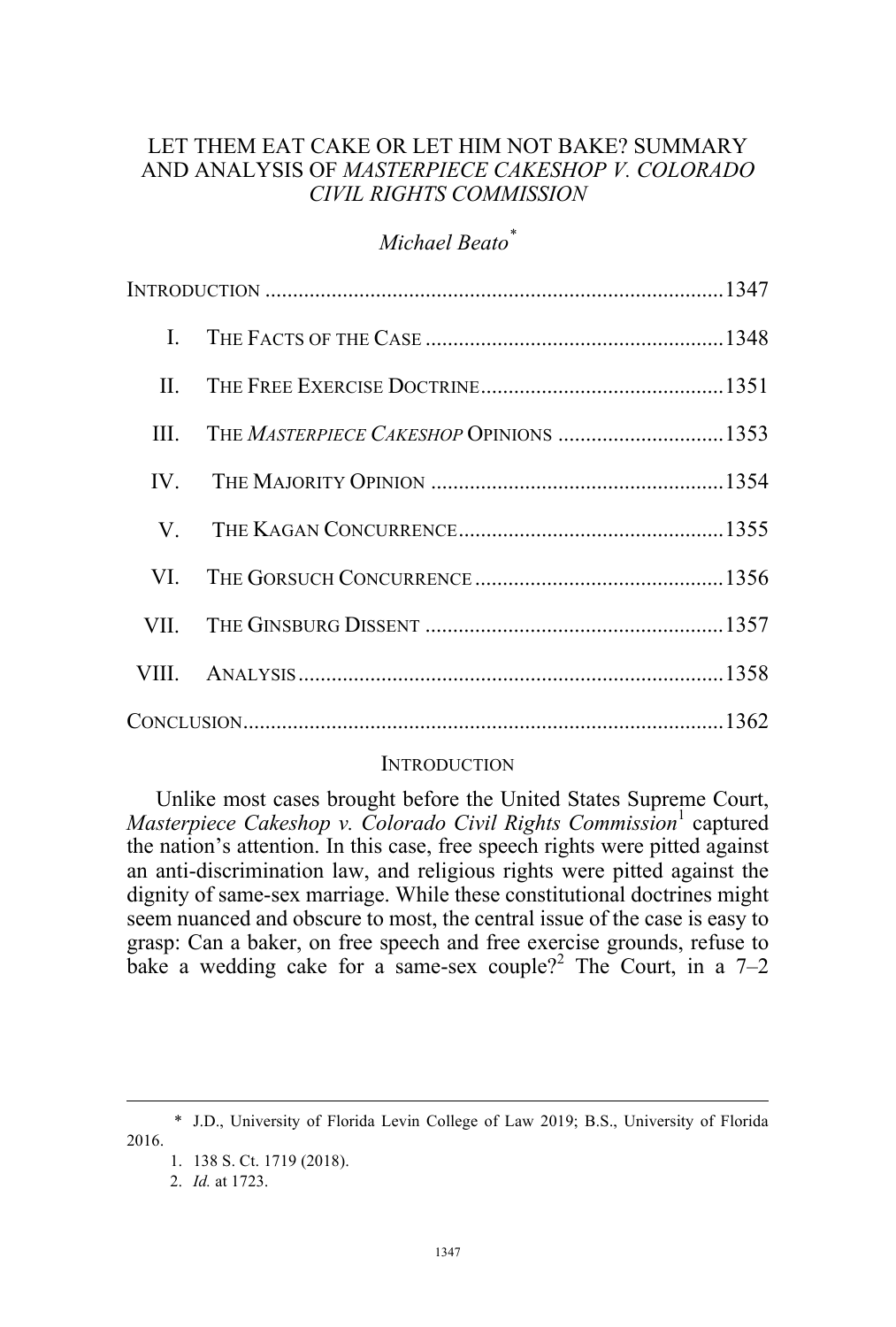# LET THEM EAT CAKE OR LET HIM NOT BAKE? SUMMARY AND ANALYSIS OF *MASTERPIECE CAKESHOP V. COLORADO CIVIL RIGHTS COMMISSION*

# *Michael Beato\**

| $\mathbf{I}$ . |  |  |
|----------------|--|--|
|                |  |  |
|                |  |  |
|                |  |  |
|                |  |  |
|                |  |  |
|                |  |  |
|                |  |  |
|                |  |  |

## **INTRODUCTION**

Unlike most cases brought before the United States Supreme Court, *Masterpiece Cakeshop v. Colorado Civil Rights Commission*<sup>1</sup> captured the nation's attention. In this case, free speech rights were pitted against an anti-discrimination law, and religious rights were pitted against the dignity of same-sex marriage. While these constitutional doctrines might seem nuanced and obscure to most, the central issue of the case is easy to grasp: Can a baker, on free speech and free exercise grounds, refuse to bake a wedding cake for a same-sex couple?<sup>2</sup> The Court, in a  $7-2$ 

 <sup>\*</sup> J.D., University of Florida Levin College of Law 2019; B.S., University of Florida 2016.

<sup>1.</sup> 138 S. Ct. 1719 (2018).

<sup>2.</sup> *Id.* at 1723.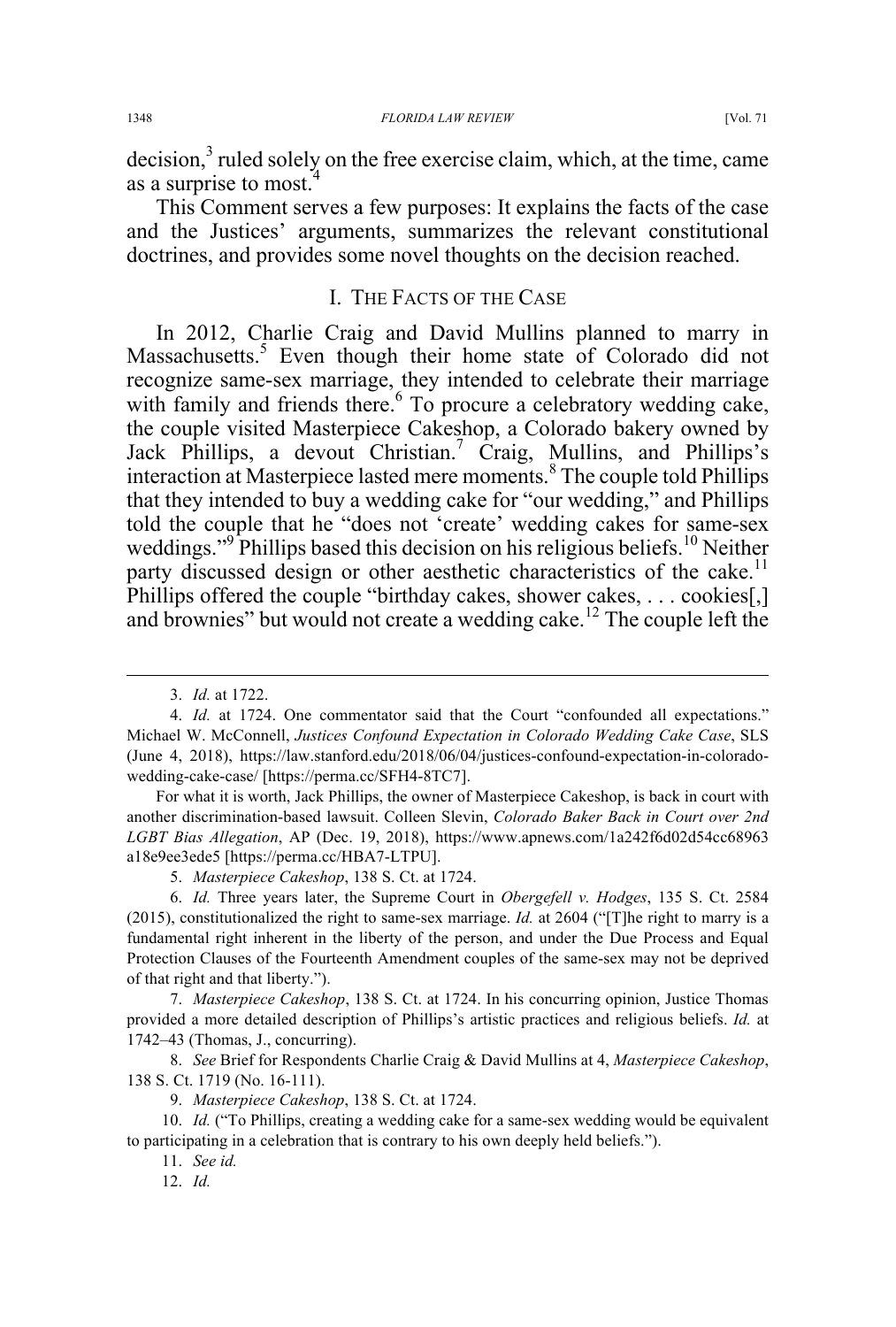decision,<sup>3</sup> ruled solely on the free exercise claim, which, at the time, came as a surprise to most.

This Comment serves a few purposes: It explains the facts of the case and the Justices' arguments, summarizes the relevant constitutional doctrines, and provides some novel thoughts on the decision reached.

### I. THE FACTS OF THE CASE

In 2012, Charlie Craig and David Mullins planned to marry in Massachusetts.<sup>5</sup> Even though their home state of Colorado did not recognize same-sex marriage, they intended to celebrate their marriage with family and friends there.<sup>6</sup> To procure a celebratory wedding cake, the couple visited Masterpiece Cakeshop, a Colorado bakery owned by Jack Phillips, a devout Christian.<sup>7</sup> Craig, Mullins, and Phillips's interaction at Masterpiece lasted mere moments.<sup>8</sup> The couple told Phillips that they intended to buy a wedding cake for "our wedding," and Phillips told the couple that he "does not 'create' wedding cakes for same-sex weddings."<sup>9</sup> Phillips based this decision on his religious beliefs.<sup>10</sup> Neither party discussed design or other aesthetic characteristics of the cake.<sup>11</sup> Phillips offered the couple "birthday cakes, shower cakes, ... cookies[,] and brownies" but would not create a wedding cake.<sup>12</sup> The couple left the

For what it is worth, Jack Phillips, the owner of Masterpiece Cakeshop, is back in court with another discrimination-based lawsuit. Colleen Slevin, *Colorado Baker Back in Court over 2nd LGBT Bias Allegation*, AP (Dec. 19, 2018), https://www.apnews.com/1a242f6d02d54cc68963 a18e9ee3ede5 [https://perma.cc/HBA7-LTPU].

5. *Masterpiece Cakeshop*, 138 S. Ct. at 1724.

6. *Id.* Three years later, the Supreme Court in *Obergefell v. Hodges*, 135 S. Ct. 2584 (2015), constitutionalized the right to same-sex marriage. *Id.* at 2604 ("[T]he right to marry is a fundamental right inherent in the liberty of the person, and under the Due Process and Equal Protection Clauses of the Fourteenth Amendment couples of the same-sex may not be deprived of that right and that liberty.").

7. *Masterpiece Cakeshop*, 138 S. Ct. at 1724. In his concurring opinion, Justice Thomas provided a more detailed description of Phillips's artistic practices and religious beliefs. *Id.* at 1742–43 (Thomas, J., concurring).

8. *See* Brief for Respondents Charlie Craig & David Mullins at 4, *Masterpiece Cakeshop*, 138 S. Ct. 1719 (No. 16-111).

9. *Masterpiece Cakeshop*, 138 S. Ct. at 1724.

10. *Id.* ("To Phillips, creating a wedding cake for a same-sex wedding would be equivalent to participating in a celebration that is contrary to his own deeply held beliefs.").

11. *See id.* 

12. *Id.* 

 <sup>3.</sup> *Id.* at 1722.

<sup>4.</sup> *Id.* at 1724. One commentator said that the Court "confounded all expectations." Michael W. McConnell, *Justices Confound Expectation in Colorado Wedding Cake Case*, SLS (June 4, 2018), https://law.stanford.edu/2018/06/04/justices-confound-expectation-in-coloradowedding-cake-case/ [https://perma.cc/SFH4-8TC7].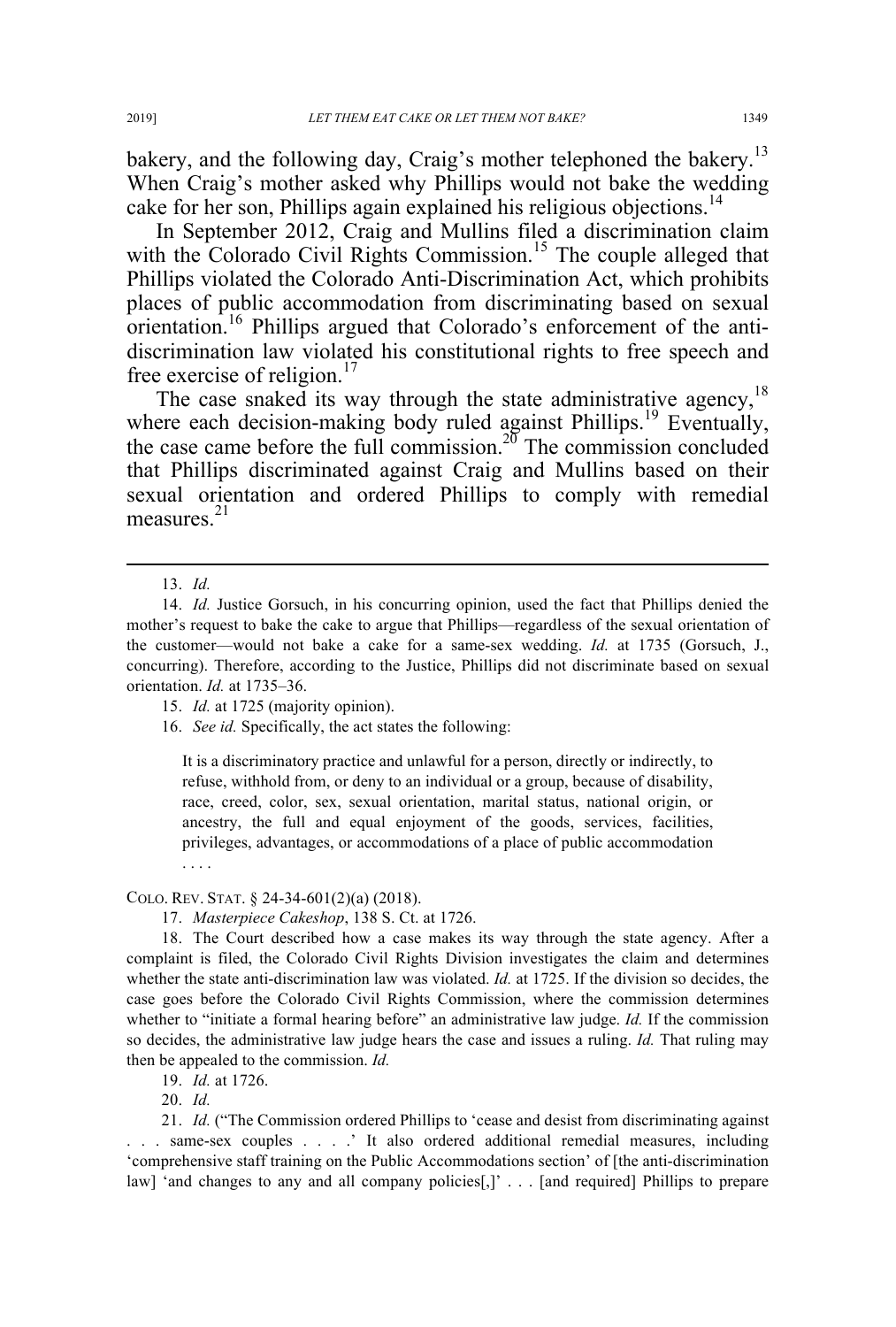bakery, and the following day, Craig's mother telephoned the bakery.<sup>13</sup> When Craig's mother asked why Phillips would not bake the wedding cake for her son, Phillips again explained his religious objections.<sup>14</sup>

In September 2012, Craig and Mullins filed a discrimination claim with the Colorado Civil Rights Commission.<sup>15</sup> The couple alleged that Phillips violated the Colorado Anti-Discrimination Act, which prohibits places of public accommodation from discriminating based on sexual orientation.16 Phillips argued that Colorado's enforcement of the antidiscrimination law violated his constitutional rights to free speech and free exercise of religion.<sup>17</sup>

The case snaked its way through the state administrative agency.<sup>18</sup> where each decision-making body ruled against Phillips.<sup>19</sup> Eventually, the case came before the full commission.<sup>20</sup> The commission concluded that Phillips discriminated against Craig and Mullins based on their sexual orientation and ordered Phillips to comply with remedial measures<sup>21</sup>

16. *See id.* Specifically, the act states the following:

It is a discriminatory practice and unlawful for a person, directly or indirectly, to refuse, withhold from, or deny to an individual or a group, because of disability, race, creed, color, sex, sexual orientation, marital status, national origin, or ancestry, the full and equal enjoyment of the goods, services, facilities, privileges, advantages, or accommodations of a place of public accommodation . . . .

#### COLO. REV. STAT. § 24-34-601(2)(a) (2018).

17. *Masterpiece Cakeshop*, 138 S. Ct. at 1726.

18. The Court described how a case makes its way through the state agency. After a complaint is filed, the Colorado Civil Rights Division investigates the claim and determines whether the state anti-discrimination law was violated. *Id.* at 1725. If the division so decides, the case goes before the Colorado Civil Rights Commission, where the commission determines whether to "initiate a formal hearing before" an administrative law judge. *Id.* If the commission so decides, the administrative law judge hears the case and issues a ruling. *Id.* That ruling may then be appealed to the commission. *Id.* 

19. *Id.* at 1726.

20. *Id.* 

21. *Id.* ("The Commission ordered Phillips to 'cease and desist from discriminating against . . . same-sex couples . . . .' It also ordered additional remedial measures, including 'comprehensive staff training on the Public Accommodations section' of [the anti-discrimination law] 'and changes to any and all company policies[,]' . . . [and required] Phillips to prepare

 <sup>13.</sup> *Id.* 

<sup>14.</sup> *Id.* Justice Gorsuch, in his concurring opinion, used the fact that Phillips denied the mother's request to bake the cake to argue that Phillips—regardless of the sexual orientation of the customer—would not bake a cake for a same-sex wedding. *Id.* at 1735 (Gorsuch, J., concurring). Therefore, according to the Justice, Phillips did not discriminate based on sexual orientation. *Id.* at 1735–36.

<sup>15.</sup> *Id.* at 1725 (majority opinion).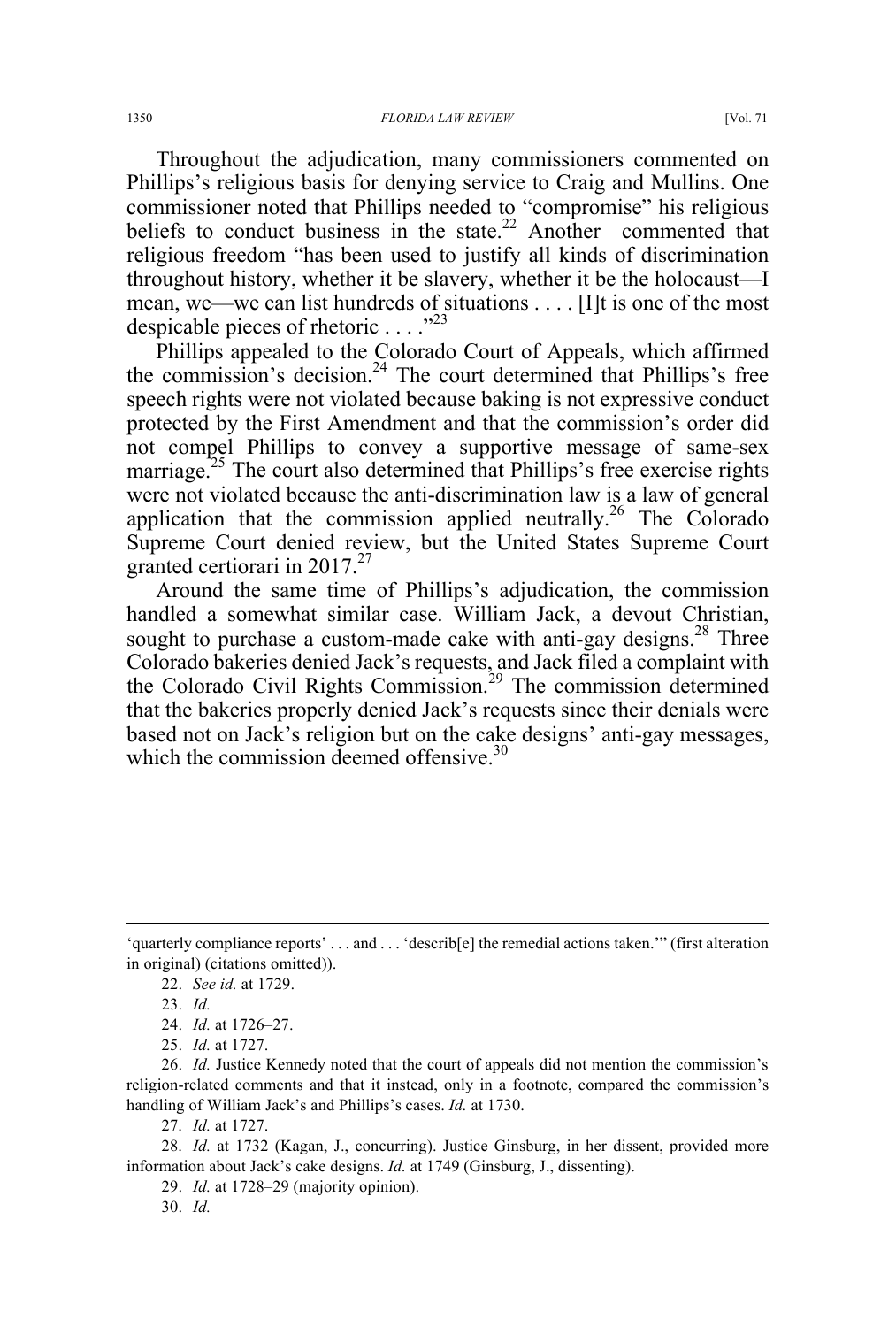Throughout the adjudication, many commissioners commented on Phillips's religious basis for denying service to Craig and Mullins. One commissioner noted that Phillips needed to "compromise" his religious beliefs to conduct business in the state.<sup>22</sup> Another commented that religious freedom "has been used to justify all kinds of discrimination throughout history, whether it be slavery, whether it be the holocaust—I mean, we—we can list hundreds of situations . . . . [I]t is one of the most despicable pieces of rhetoric  $\ldots$  .  $\ldots$ <sup>23</sup>

Phillips appealed to the Colorado Court of Appeals, which affirmed the commission's decision.<sup>24</sup> The court determined that Phillips's free speech rights were not violated because baking is not expressive conduct protected by the First Amendment and that the commission's order did not compel Phillips to convey a supportive message of same-sex marriage.<sup>25</sup> The court also determined that Phillips's free exercise rights were not violated because the anti-discrimination law is a law of general application that the commission applied neutrally.<sup>26</sup> The Colorado Supreme Court denied review, but the United States Supreme Court granted certiorari in  $2017.<sup>27</sup>$ 

Around the same time of Phillips's adjudication, the commission handled a somewhat similar case. William Jack, a devout Christian, sought to purchase a custom-made cake with anti-gay designs.<sup>28</sup> Three Colorado bakeries denied Jack's requests, and Jack filed a complaint with the Colorado Civil Rights Commission.<sup>29</sup> The commission determined that the bakeries properly denied Jack's requests since their denials were based not on Jack's religion but on the cake designs' anti-gay messages, which the commission deemed offensive.<sup>30</sup>

 <sup>&#</sup>x27;quarterly compliance reports' . . . and . . . 'describ[e] the remedial actions taken.'" (first alteration in original) (citations omitted)).

<sup>22.</sup> *See id.* at 1729.

<sup>23.</sup> *Id.* 

<sup>24.</sup> *Id.* at 1726–27.

<sup>25.</sup> *Id.* at 1727.

<sup>26.</sup> *Id.* Justice Kennedy noted that the court of appeals did not mention the commission's religion-related comments and that it instead, only in a footnote, compared the commission's handling of William Jack's and Phillips's cases. *Id.* at 1730.

<sup>27.</sup> *Id.* at 1727.

<sup>28.</sup> *Id.* at 1732 (Kagan, J., concurring). Justice Ginsburg, in her dissent, provided more information about Jack's cake designs. *Id.* at 1749 (Ginsburg, J., dissenting).

<sup>29.</sup> *Id.* at 1728–29 (majority opinion).

<sup>30.</sup> *Id.*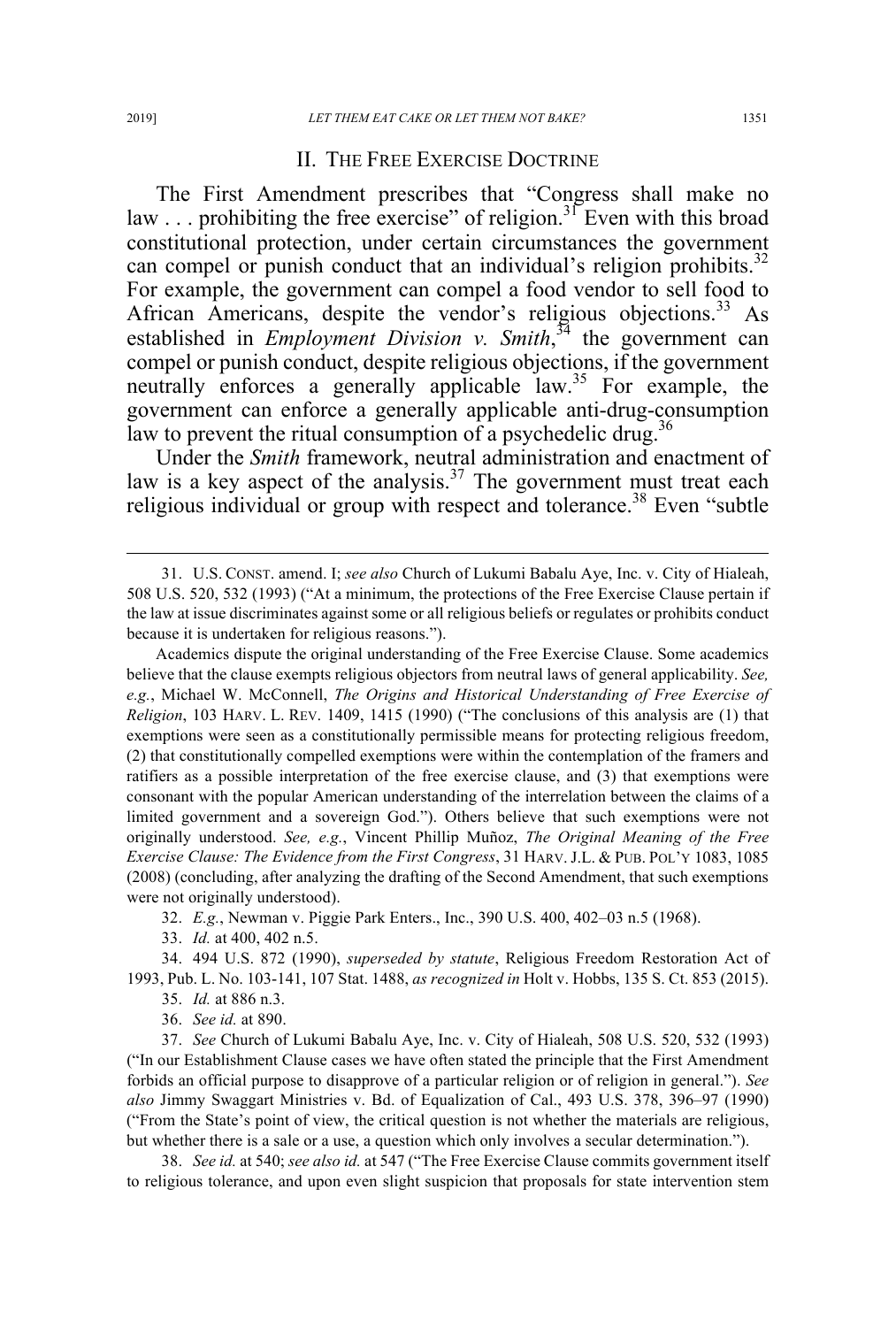#### II. THE FREE EXERCISE DOCTRINE

The First Amendment prescribes that "Congress shall make no law  $\ldots$  prohibiting the free exercise" of religion.<sup>31</sup> Even with this broad constitutional protection, under certain circumstances the government can compel or punish conduct that an individual's religion prohibits.<sup>32</sup> For example, the government can compel a food vendor to sell food to African Americans, despite the vendor's religious objections.<sup>33</sup> As established in *Employment Division v. Smith*<sup>34</sup> the government can compel or punish conduct, despite religious objections, if the government neutrally enforces a generally applicable law.<sup>35</sup> For example, the government can enforce a generally applicable anti-drug-consumption law to prevent the ritual consumption of a psychedelic drug.<sup>36</sup>

Under the *Smith* framework, neutral administration and enactment of law is a key aspect of the analysis.<sup>37</sup> The government must treat each religious individual or group with respect and tolerance.<sup>38</sup> Even "subtle

Academics dispute the original understanding of the Free Exercise Clause. Some academics believe that the clause exempts religious objectors from neutral laws of general applicability. *See, e.g.*, Michael W. McConnell, *The Origins and Historical Understanding of Free Exercise of Religion*, 103 HARV. L. REV. 1409, 1415 (1990) ("The conclusions of this analysis are (1) that exemptions were seen as a constitutionally permissible means for protecting religious freedom, (2) that constitutionally compelled exemptions were within the contemplation of the framers and ratifiers as a possible interpretation of the free exercise clause, and (3) that exemptions were consonant with the popular American understanding of the interrelation between the claims of a limited government and a sovereign God."). Others believe that such exemptions were not originally understood. *See, e.g.*, Vincent Phillip Muñoz, *The Original Meaning of the Free Exercise Clause: The Evidence from the First Congress*, 31 HARV.J.L. & PUB. POL'Y 1083, 1085 (2008) (concluding, after analyzing the drafting of the Second Amendment, that such exemptions were not originally understood).

32. *E.g.*, Newman v. Piggie Park Enters., Inc., 390 U.S. 400, 402–03 n.5 (1968).

33. *Id.* at 400, 402 n.5.

34. 494 U.S. 872 (1990), *superseded by statute*, Religious Freedom Restoration Act of 1993, Pub. L. No. 103-141, 107 Stat. 1488, *as recognized in* Holt v. Hobbs, 135 S. Ct. 853 (2015).

35. *Id.* at 886 n.3.

36. *See id.* at 890.

37. *See* Church of Lukumi Babalu Aye, Inc. v. City of Hialeah, 508 U.S. 520, 532 (1993) ("In our Establishment Clause cases we have often stated the principle that the First Amendment forbids an official purpose to disapprove of a particular religion or of religion in general."). *See also* Jimmy Swaggart Ministries v. Bd. of Equalization of Cal., 493 U.S. 378, 396–97 (1990) ("From the State's point of view, the critical question is not whether the materials are religious, but whether there is a sale or a use, a question which only involves a secular determination.").

38. *See id.* at 540; *see also id.* at 547 ("The Free Exercise Clause commits government itself to religious tolerance, and upon even slight suspicion that proposals for state intervention stem

 <sup>31.</sup> U.S. CONST. amend. I; *see also* Church of Lukumi Babalu Aye, Inc. v. City of Hialeah, 508 U.S. 520, 532 (1993) ("At a minimum, the protections of the Free Exercise Clause pertain if the law at issue discriminates against some or all religious beliefs or regulates or prohibits conduct because it is undertaken for religious reasons.").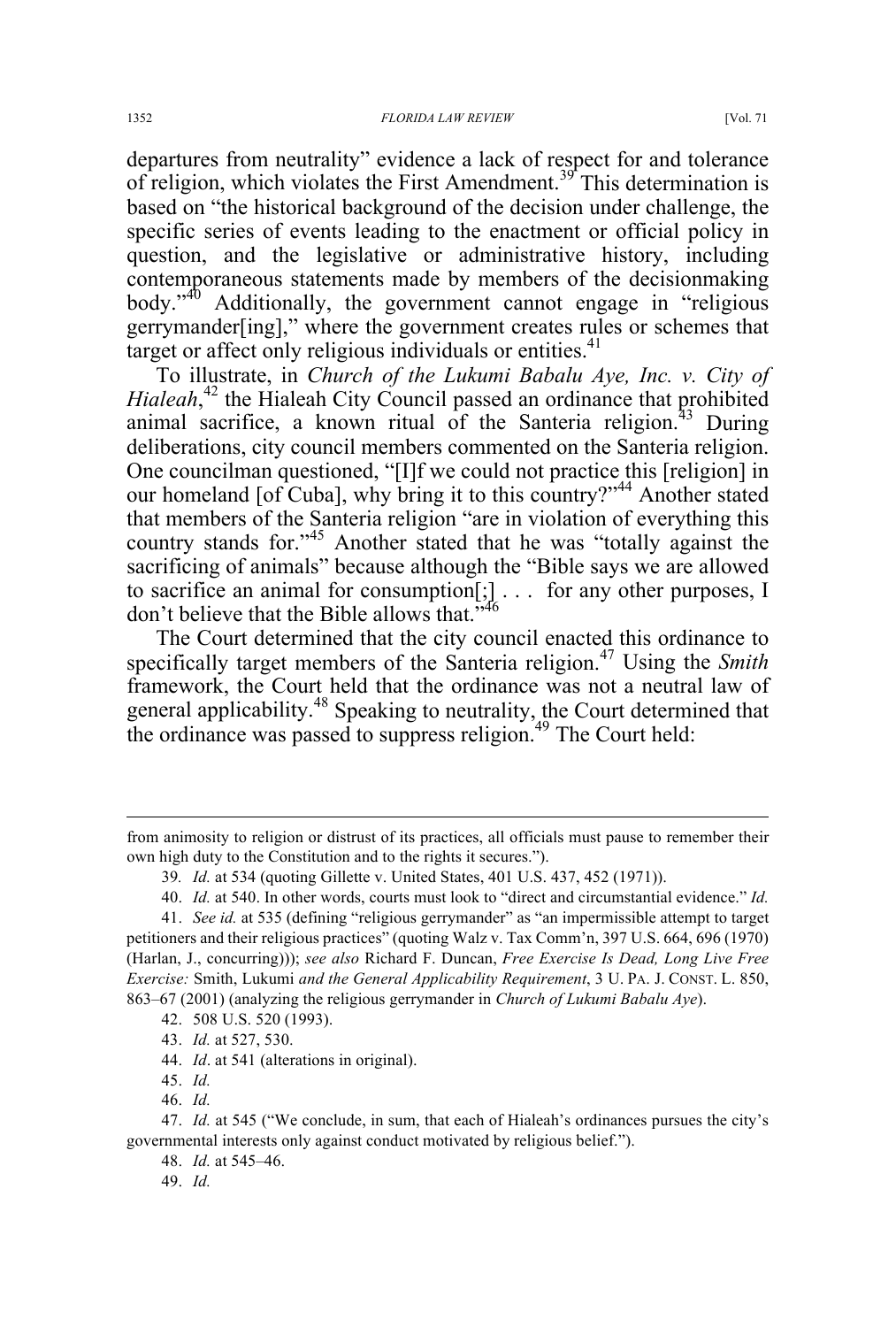departures from neutrality" evidence a lack of respect for and tolerance of religion, which violates the First Amendment.<sup>39</sup> This determination is based on "the historical background of the decision under challenge, the specific series of events leading to the enactment or official policy in question, and the legislative or administrative history, including contemporaneous statements made by members of the decisionmaking body."<sup>40</sup> Additionally, the government cannot engage in "religious gerrymander[ing]," where the government creates rules or schemes that target or affect only religious individuals or entities. $41$ 

To illustrate, in *Church of the Lukumi Babalu Aye, Inc. v. City of*  Hialeah,<sup>42</sup> the Hialeah City Council passed an ordinance that prohibited animal sacrifice, a known ritual of the Santeria religion.<sup>43</sup> During deliberations, city council members commented on the Santeria religion. One councilman questioned, "[I]f we could not practice this [religion] in our homeland [of Cuba], why bring it to this country?"<sup>44</sup> Another stated that members of the Santeria religion "are in violation of everything this country stands for."<sup>45</sup> Another stated that he was "totally against the sacrificing of animals" because although the "Bible says we are allowed to sacrifice an animal for consumption[;] . . . for any other purposes, I don't believe that the Bible allows that."<sup>46</sup>

The Court determined that the city council enacted this ordinance to specifically target members of the Santeria religion.<sup>47</sup> Using the *Smith* framework, the Court held that the ordinance was not a neutral law of general applicability.<sup>48</sup> Speaking to neutrality, the Court determined that the ordinance was passed to suppress religion.<sup>49</sup> The Court held:

45. *Id.* 

46. *Id.* 

49. *Id.*

from animosity to religion or distrust of its practices, all officials must pause to remember their own high duty to the Constitution and to the rights it secures.").

<sup>39</sup>*. Id.* at 534 (quoting Gillette v. United States, 401 U.S. 437, 452 (1971)).

<sup>40.</sup> *Id.* at 540. In other words, courts must look to "direct and circumstantial evidence." *Id.* 

<sup>41.</sup> *See id.* at 535 (defining "religious gerrymander" as "an impermissible attempt to target petitioners and their religious practices" (quoting Walz v. Tax Comm'n, 397 U.S. 664, 696 (1970) (Harlan, J., concurring))); *see also* Richard F. Duncan, *Free Exercise Is Dead, Long Live Free Exercise:* Smith, Lukumi *and the General Applicability Requirement*, 3 U. PA. J. CONST. L. 850, 863–67 (2001) (analyzing the religious gerrymander in *Church of Lukumi Babalu Aye*).

<sup>42.</sup> 508 U.S. 520 (1993).

<sup>43.</sup> *Id.* at 527, 530.

<sup>44.</sup> *Id*. at 541 (alterations in original).

<sup>47.</sup> *Id.* at 545 ("We conclude, in sum, that each of Hialeah's ordinances pursues the city's governmental interests only against conduct motivated by religious belief.").

<sup>48.</sup> *Id.* at 545–46.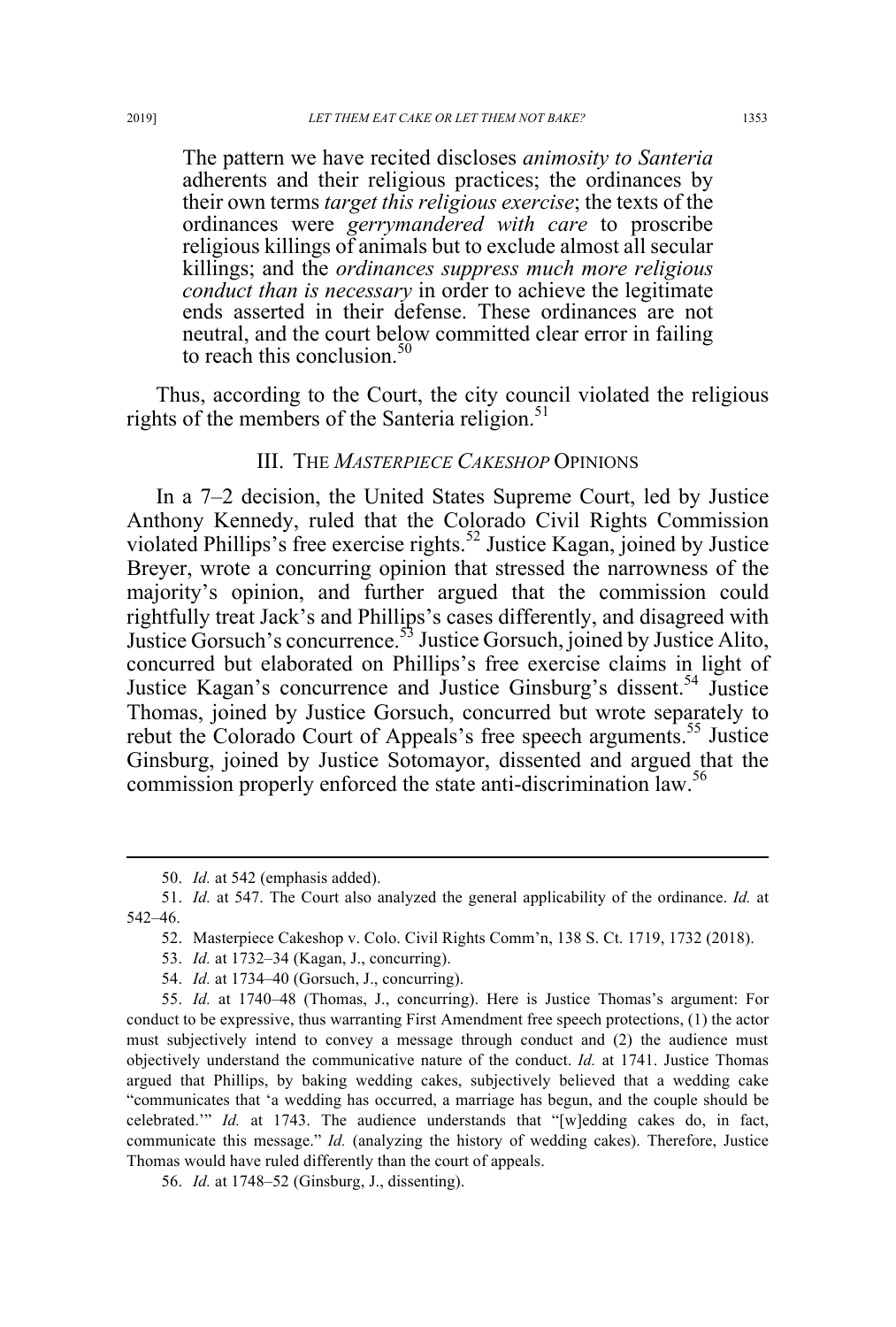The pattern we have recited discloses *animosity to Santeria* adherents and their religious practices; the ordinances by their own terms *target this religious exercise*; the texts of the ordinances were *gerrymandered with care* to proscribe religious killings of animals but to exclude almost all secular killings; and the *ordinances suppress much more religious conduct than is necessary* in order to achieve the legitimate ends asserted in their defense. These ordinances are not neutral, and the court below committed clear error in failing to reach this conclusion. $50$ 

Thus, according to the Court, the city council violated the religious rights of the members of the Santeria religion. $51$ 

#### III. THE *MASTERPIECE CAKESHOP* OPINIONS

In a 7–2 decision, the United States Supreme Court, led by Justice Anthony Kennedy, ruled that the Colorado Civil Rights Commission violated Phillips's free exercise rights.<sup>52</sup> Justice Kagan, joined by Justice Breyer, wrote a concurring opinion that stressed the narrowness of the majority's opinion, and further argued that the commission could rightfully treat Jack's and Phillips's cases differently, and disagreed with Justice Gorsuch's concurrence.53 Justice Gorsuch, joined by Justice Alito, concurred but elaborated on Phillips's free exercise claims in light of Justice Kagan's concurrence and Justice Ginsburg's dissent.<sup>54</sup> Justice Thomas, joined by Justice Gorsuch, concurred but wrote separately to rebut the Colorado Court of Appeals's free speech arguments.<sup>55</sup> Justice Ginsburg, joined by Justice Sotomayor, dissented and argued that the commission properly enforced the state anti-discrimination law.<sup>56</sup>

 <sup>50.</sup> *Id.* at 542 (emphasis added).

<sup>51.</sup> *Id.* at 547. The Court also analyzed the general applicability of the ordinance. *Id.* at 542–46.

<sup>52.</sup> Masterpiece Cakeshop v. Colo. Civil Rights Comm'n, 138 S. Ct. 1719, 1732 (2018).

<sup>53.</sup> *Id.* at 1732–34 (Kagan, J., concurring).

<sup>54.</sup> *Id.* at 1734–40 (Gorsuch, J., concurring).

<sup>55.</sup> *Id.* at 1740–48 (Thomas, J., concurring). Here is Justice Thomas's argument: For conduct to be expressive, thus warranting First Amendment free speech protections, (1) the actor must subjectively intend to convey a message through conduct and (2) the audience must objectively understand the communicative nature of the conduct. *Id.* at 1741. Justice Thomas argued that Phillips, by baking wedding cakes, subjectively believed that a wedding cake "communicates that 'a wedding has occurred, a marriage has begun, and the couple should be celebrated.'" *Id.* at 1743. The audience understands that "[w]edding cakes do, in fact, communicate this message." *Id.* (analyzing the history of wedding cakes). Therefore, Justice Thomas would have ruled differently than the court of appeals.

<sup>56.</sup> *Id.* at 1748–52 (Ginsburg, J., dissenting).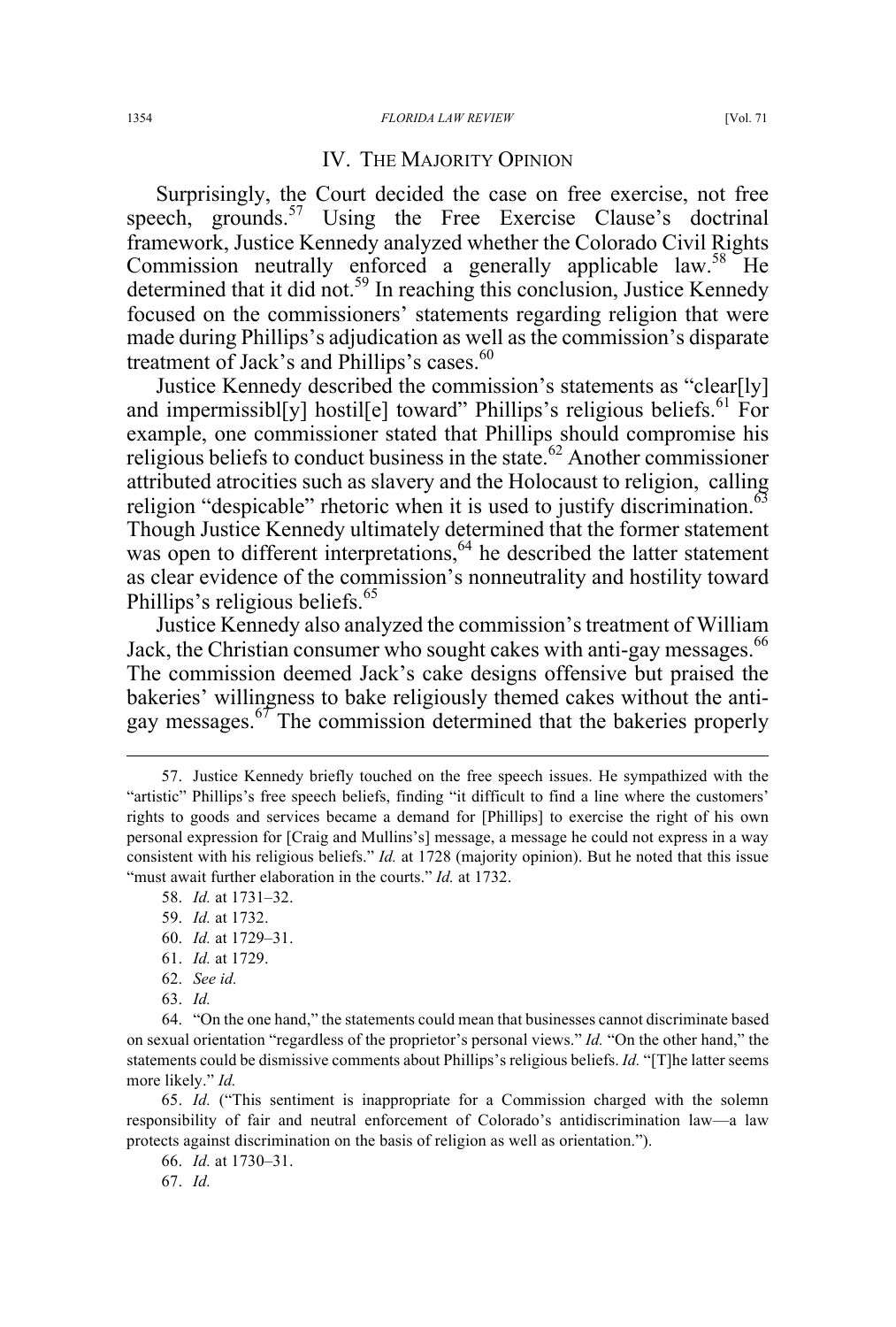#### IV. THE MAJORITY OPINION

Surprisingly, the Court decided the case on free exercise, not free speech, grounds.<sup>57</sup> Using the Free Exercise Clause's doctrinal framework, Justice Kennedy analyzed whether the Colorado Civil Rights Commission neutrally enforced a generally applicable law.<sup>58</sup> He determined that it did not.<sup>59</sup> In reaching this conclusion, Justice Kennedy focused on the commissioners' statements regarding religion that were made during Phillips's adjudication as well as the commission's disparate treatment of Jack's and Phillips's cases. $60$ 

Justice Kennedy described the commission's statements as "clear[ly] and impermissibl[y] hostil[e] toward" Phillips's religious beliefs.<sup>61</sup> For example, one commissioner stated that Phillips should compromise his religious beliefs to conduct business in the state.<sup>62</sup> Another commissioner attributed atrocities such as slavery and the Holocaust to religion, calling religion "despicable" rhetoric when it is used to justify discrimination.<sup>63</sup> Though Justice Kennedy ultimately determined that the former statement was open to different interpretations,<sup>64</sup> he described the latter statement as clear evidence of the commission's nonneutrality and hostility toward Phillips's religious beliefs.<sup>65</sup>

Justice Kennedy also analyzed the commission's treatment of William Jack, the Christian consumer who sought cakes with anti-gay messages.<sup>66</sup> The commission deemed Jack's cake designs offensive but praised the bakeries' willingness to bake religiously themed cakes without the antigay messages.<sup>67</sup> The commission determined that the bakeries properly

- 60. *Id.* at 1729–31.
- 61. *Id.* at 1729.
- 62. *See id.*
- 63. *Id.*

65. *Id.* ("This sentiment is inappropriate for a Commission charged with the solemn responsibility of fair and neutral enforcement of Colorado's antidiscrimination law—a law protects against discrimination on the basis of religion as well as orientation.").

66. *Id.* at 1730–31.

67. *Id.* 

 <sup>57.</sup> Justice Kennedy briefly touched on the free speech issues. He sympathized with the "artistic" Phillips's free speech beliefs, finding "it difficult to find a line where the customers' rights to goods and services became a demand for [Phillips] to exercise the right of his own personal expression for [Craig and Mullins's] message, a message he could not express in a way consistent with his religious beliefs." *Id.* at 1728 (majority opinion). But he noted that this issue "must await further elaboration in the courts." *Id.* at 1732.

<sup>58.</sup> *Id.* at 1731–32.

<sup>59.</sup> *Id.* at 1732.

<sup>64.</sup> "On the one hand," the statements could mean that businesses cannot discriminate based on sexual orientation "regardless of the proprietor's personal views." *Id.* "On the other hand," the statements could be dismissive comments about Phillips's religious beliefs. *Id.* "[T]he latter seems more likely." *Id.*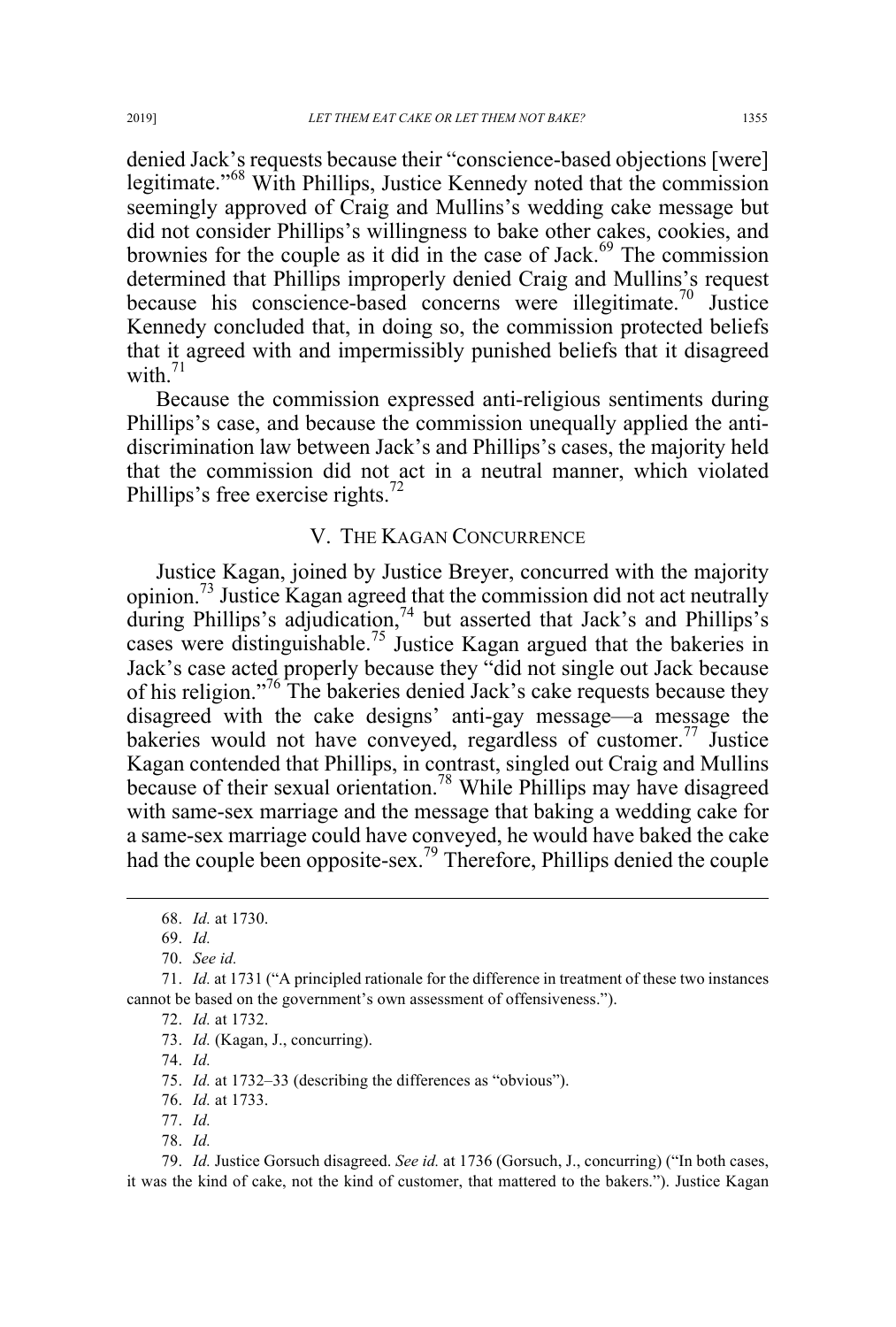denied Jack's requests because their "conscience-based objections [were] legitimate."<sup>68</sup> With Phillips, Justice Kennedy noted that the commission seemingly approved of Craig and Mullins's wedding cake message but did not consider Phillips's willingness to bake other cakes, cookies, and brownies for the couple as it did in the case of Jack. <sup>69</sup> The commission determined that Phillips improperly denied Craig and Mullins's request because his conscience-based concerns were illegitimate.<sup>70</sup> Justice Kennedy concluded that, in doing so, the commission protected beliefs that it agreed with and impermissibly punished beliefs that it disagreed with. $71$ 

Because the commission expressed anti-religious sentiments during Phillips's case, and because the commission unequally applied the antidiscrimination law between Jack's and Phillips's cases, the majority held that the commission did not act in a neutral manner, which violated Phillips's free exercise rights.<sup>72</sup>

### V. THE KAGAN CONCURRENCE

Justice Kagan, joined by Justice Breyer, concurred with the majority opinion.<sup>73</sup> Justice Kagan agreed that the commission did not act neutrally during Phillips's adjudication,<sup>74</sup> but asserted that Jack's and Phillips's cases were distinguishable.<sup>75</sup> Justice Kagan argued that the bakeries in Jack's case acted properly because they "did not single out Jack because of his religion."<sup>76</sup> The bakeries denied Jack's cake requests because they disagreed with the cake designs' anti-gay message—a message the bakeries would not have conveyed, regardless of customer.<sup>77</sup> Justice Kagan contended that Phillips, in contrast, singled out Craig and Mullins because of their sexual orientation.<sup>78</sup> While Phillips may have disagreed with same-sex marriage and the message that baking a wedding cake for a same-sex marriage could have conveyed, he would have baked the cake had the couple been opposite-sex.<sup>79</sup> Therefore, Phillips denied the couple

75. *Id.* at 1732–33 (describing the differences as "obvious").

76. *Id.* at 1733.

77. *Id.*

79. *Id.* Justice Gorsuch disagreed. *See id.* at 1736 (Gorsuch, J., concurring) ("In both cases, it was the kind of cake, not the kind of customer, that mattered to the bakers."). Justice Kagan

 <sup>68.</sup> *Id.* at 1730.

<sup>69.</sup> *Id.* 

<sup>70.</sup> *See id.* 

<sup>71.</sup> *Id.* at 1731 ("A principled rationale for the difference in treatment of these two instances cannot be based on the government's own assessment of offensiveness.").

<sup>72.</sup> *Id.* at 1732.

<sup>73.</sup> *Id.* (Kagan, J., concurring).

<sup>74.</sup> *Id.*

<sup>78.</sup> *Id.*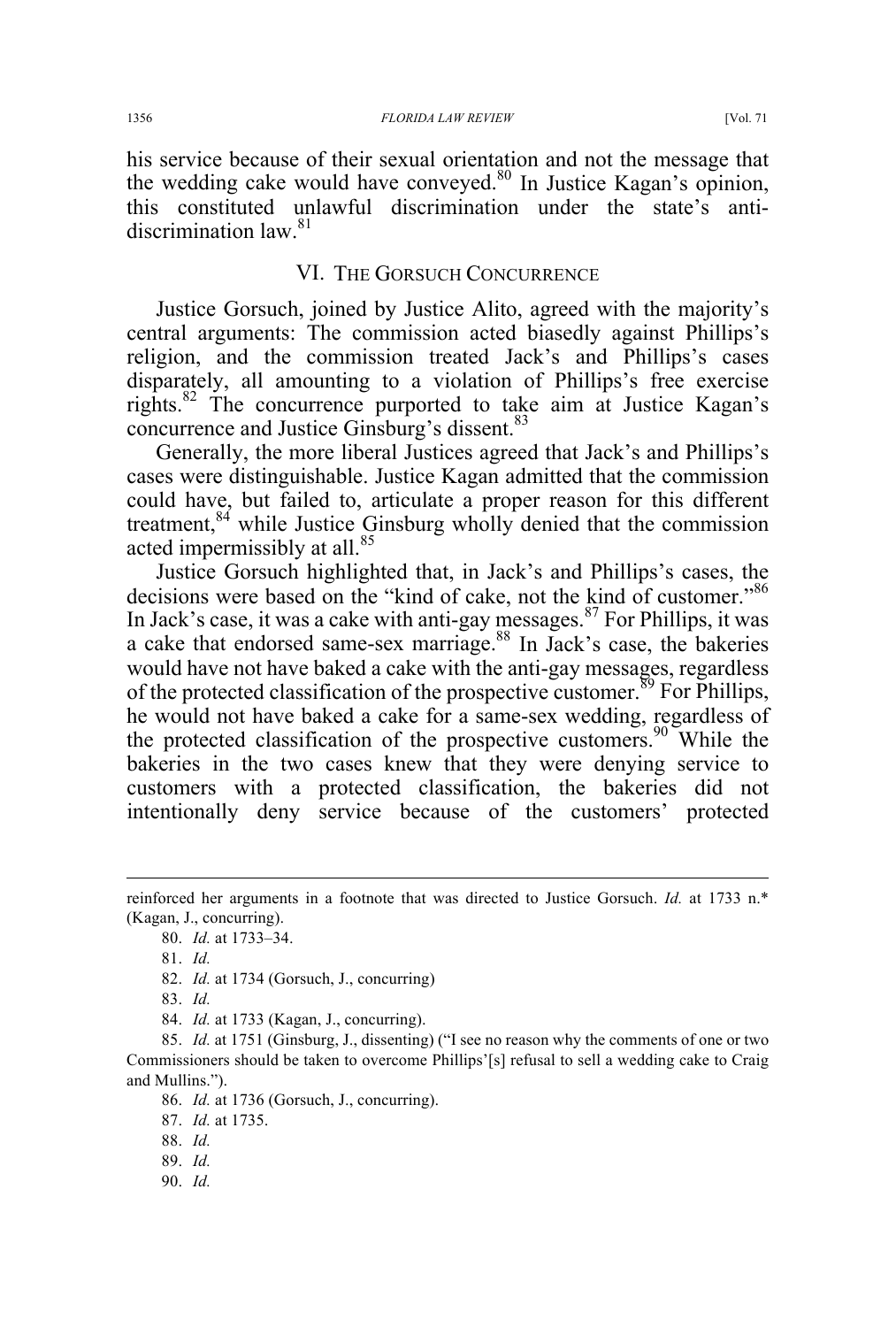his service because of their sexual orientation and not the message that the wedding cake would have conveyed.<sup>80</sup> In Justice Kagan's opinion, this constituted unlawful discrimination under the state's antidiscrimination law<sup>81</sup>

### VI. THE GORSUCH CONCURRENCE

Justice Gorsuch, joined by Justice Alito, agreed with the majority's central arguments: The commission acted biasedly against Phillips's religion, and the commission treated Jack's and Phillips's cases disparately, all amounting to a violation of Phillips's free exercise rights.82 The concurrence purported to take aim at Justice Kagan's concurrence and Justice Ginsburg's dissent.<sup>83</sup>

Generally, the more liberal Justices agreed that Jack's and Phillips's cases were distinguishable. Justice Kagan admitted that the commission could have, but failed to, articulate a proper reason for this different treatment,  $84$  while Justice Ginsburg wholly denied that the commission acted impermissibly at all.<sup>85</sup>

Justice Gorsuch highlighted that, in Jack's and Phillips's cases, the decisions were based on the "kind of cake, not the kind of customer."<sup>86</sup> In Jack's case, it was a cake with anti-gay messages. $87$  For Phillips, it was a cake that endorsed same-sex marriage.<sup>88</sup> In Jack's case, the bakeries would have not have baked a cake with the anti-gay messages, regardless of the protected classification of the prospective customer.<sup>89</sup> For Phillips, he would not have baked a cake for a same-sex wedding, regardless of the protected classification of the prospective customers.<sup>90</sup> While the bakeries in the two cases knew that they were denying service to customers with a protected classification, the bakeries did not intentionally deny service because of the customers' protected

84. *Id.* at 1733 (Kagan, J., concurring).

- 89. *Id.*
- 90. *Id.*

reinforced her arguments in a footnote that was directed to Justice Gorsuch. *Id.* at 1733 n.\* (Kagan, J., concurring).

<sup>80.</sup> *Id.* at 1733–34.

<sup>81.</sup> *Id.* 

<sup>82.</sup> *Id.* at 1734 (Gorsuch, J., concurring)

<sup>83.</sup> *Id.* 

<sup>85.</sup> *Id.* at 1751 (Ginsburg, J., dissenting) ("I see no reason why the comments of one or two Commissioners should be taken to overcome Phillips'[s] refusal to sell a wedding cake to Craig and Mullins.").

<sup>86.</sup> *Id.* at 1736 (Gorsuch, J., concurring).

<sup>87.</sup> *Id.* at 1735.

<sup>88.</sup> *Id.*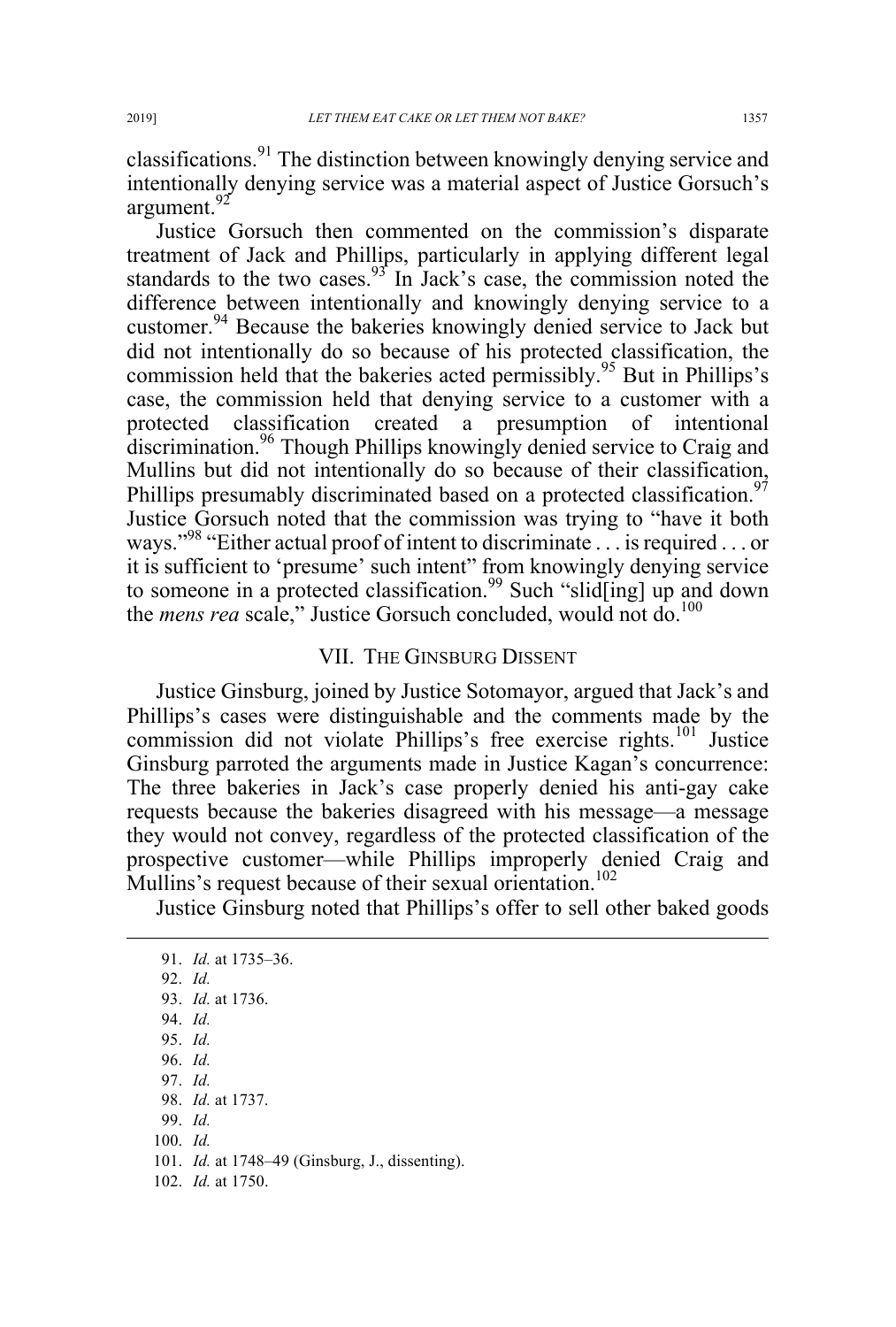classifications.<sup>91</sup> The distinction between knowingly denying service and intentionally denying service was a material aspect of Justice Gorsuch's argument.<sup>92</sup>

Justice Gorsuch then commented on the commission's disparate treatment of Jack and Phillips, particularly in applying different legal standards to the two cases.  $93^{\circ}$  In Jack's case, the commission noted the difference between intentionally and knowingly denying service to a customer.<sup>94</sup> Because the bakeries knowingly denied service to Jack but did not intentionally do so because of his protected classification, the commission held that the bakeries acted permissibly.<sup>95</sup> But in Phillips's case, the commission held that denying service to a customer with a protected classification created a presumption of intentional discrimination.<sup>96</sup> Though Phillips knowingly denied service to Craig and Mullins but did not intentionally do so because of their classification, Phillips presumably discriminated based on a protected classification.<sup>97</sup> Justice Gorsuch noted that the commission was trying to "have it both ways."98 "Either actual proof of intent to discriminate . . . is required . . . or it is sufficient to 'presume' such intent" from knowingly denying service to someone in a protected classification.<sup>99</sup> Such "slid[ing] up and down the *mens rea* scale," Justice Gorsuch concluded, would not do.<sup>100</sup>

### VII. THE GINSBURG DISSENT

Justice Ginsburg, joined by Justice Sotomayor, argued that Jack's and Phillips's cases were distinguishable and the comments made by the commission did not violate Phillips's free exercise rights.<sup>101</sup> Justice Ginsburg parroted the arguments made in Justice Kagan's concurrence: The three bakeries in Jack's case properly denied his anti-gay cake requests because the bakeries disagreed with his message—a message they would not convey, regardless of the protected classification of the prospective customer—while Phillips improperly denied Craig and Mullins's request because of their sexual orientation.<sup>102</sup>

Justice Ginsburg noted that Phillips's offer to sell other baked goods

 91. *Id.* at 1735–36. 92. *Id.* 93. *Id.* at 1736. 94. *Id.* 95. *Id.*  96. *Id.* 97. *Id.* 98. *Id.* at 1737. 99. *Id.*  100. *Id.*  101. *Id.* at 1748–49 (Ginsburg, J., dissenting). 102. *Id.* at 1750.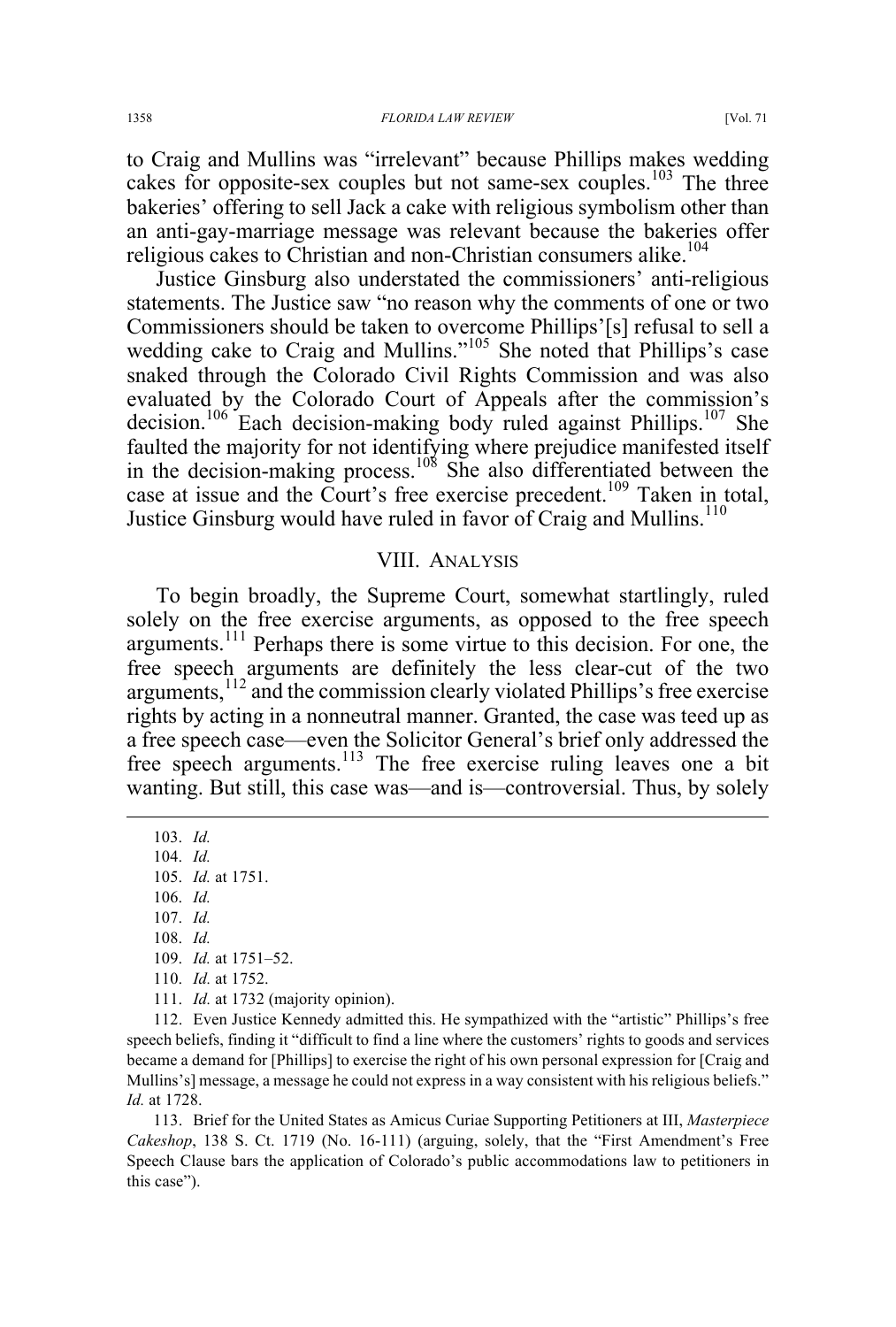to Craig and Mullins was "irrelevant" because Phillips makes wedding cakes for opposite-sex couples but not same-sex couples.<sup>103</sup> The three bakeries' offering to sell Jack a cake with religious symbolism other than an anti-gay-marriage message was relevant because the bakeries offer religious cakes to Christian and non-Christian consumers alike.<sup>104</sup>

Justice Ginsburg also understated the commissioners' anti-religious statements. The Justice saw "no reason why the comments of one or two Commissioners should be taken to overcome Phillips'[s] refusal to sell a wedding cake to Craig and Mullins."<sup>105</sup> She noted that Phillips's case snaked through the Colorado Civil Rights Commission and was also evaluated by the Colorado Court of Appeals after the commission's decision.<sup>106</sup> Each decision-making body ruled against Phillips.<sup>107</sup> She faulted the majority for not identifying where prejudice manifested itself in the decision-making process.<sup>108</sup> She also differentiated between the case at issue and the Court's free exercise precedent.<sup>109</sup> Taken in total, Justice Ginsburg would have ruled in favor of Craig and Mullins.<sup>110</sup>

#### VIII. ANALYSIS

To begin broadly, the Supreme Court, somewhat startlingly, ruled solely on the free exercise arguments, as opposed to the free speech arguments.<sup>111</sup> Perhaps there is some virtue to this decision. For one, the free speech arguments are definitely the less clear-cut of the two arguments, $1^{12}$  and the commission clearly violated Phillips's free exercise rights by acting in a nonneutral manner. Granted, the case was teed up as a free speech case—even the Solicitor General's brief only addressed the free speech arguments.<sup>113</sup> The free exercise ruling leaves one a bit wanting. But still, this case was—and is—controversial. Thus, by solely

 103. *Id.* 104. *Id.*  105. *Id.* at 1751. 106. *Id.*  107. *Id.*  108. *Id.*  109. *Id.* at 1751–52. 110. *Id.* at 1752. 111. *Id.* at 1732 (majority opinion). 112. Even Justice Kennedy admitted this. He sympathized with the "artistic" Phillips's free

speech beliefs, finding it "difficult to find a line where the customers' rights to goods and services became a demand for [Phillips] to exercise the right of his own personal expression for [Craig and Mullins's] message, a message he could not express in a way consistent with his religious beliefs." *Id.* at 1728.

113. Brief for the United States as Amicus Curiae Supporting Petitioners at III, *Masterpiece Cakeshop*, 138 S. Ct. 1719 (No. 16-111) (arguing, solely, that the "First Amendment's Free Speech Clause bars the application of Colorado's public accommodations law to petitioners in this case").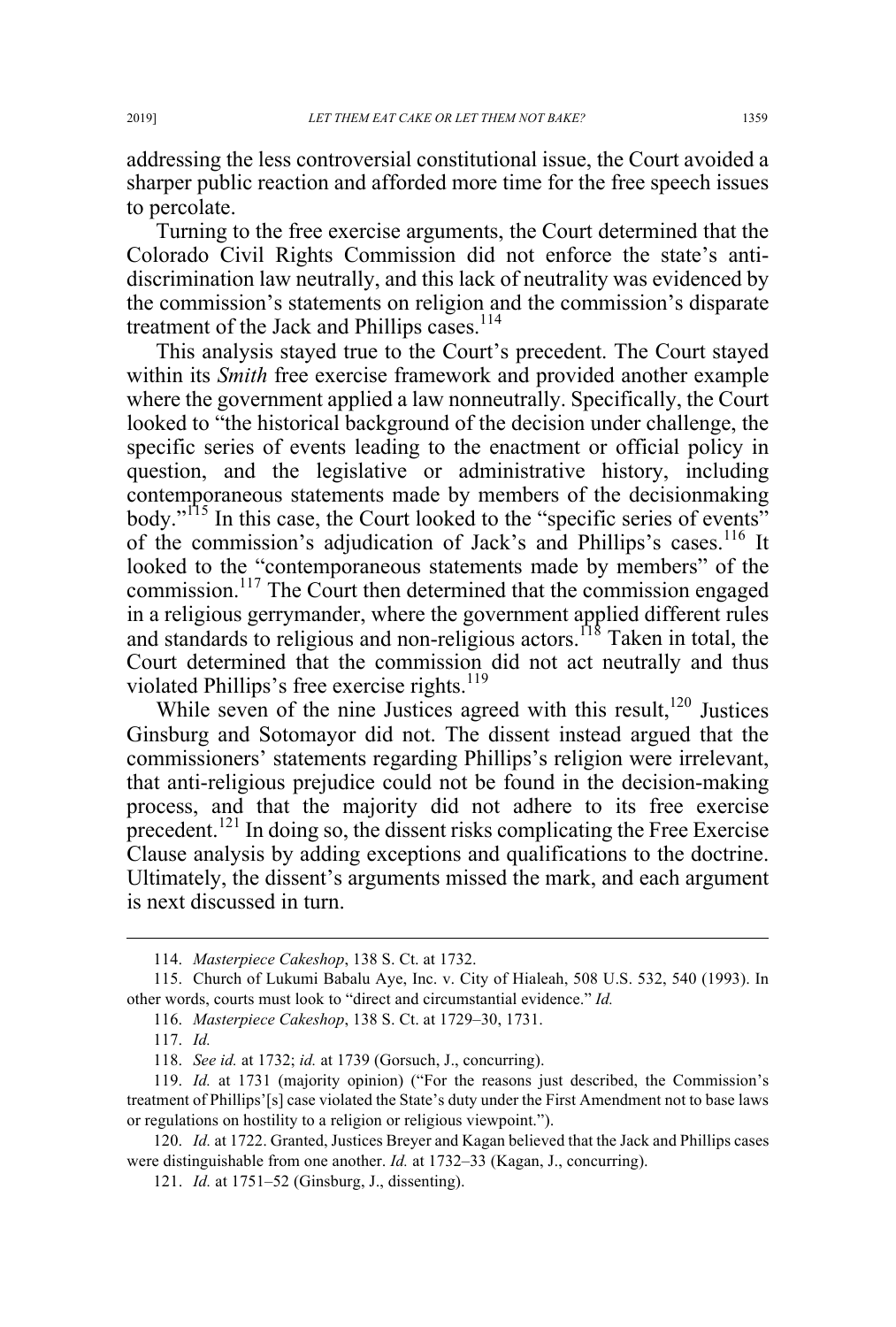addressing the less controversial constitutional issue, the Court avoided a sharper public reaction and afforded more time for the free speech issues to percolate.

Turning to the free exercise arguments, the Court determined that the Colorado Civil Rights Commission did not enforce the state's antidiscrimination law neutrally, and this lack of neutrality was evidenced by the commission's statements on religion and the commission's disparate treatment of the Jack and Phillips cases.<sup>114</sup>

This analysis stayed true to the Court's precedent. The Court stayed within its *Smith* free exercise framework and provided another example where the government applied a law nonneutrally. Specifically, the Court looked to "the historical background of the decision under challenge, the specific series of events leading to the enactment or official policy in question, and the legislative or administrative history, including contemporaneous statements made by members of the decisionmaking body."<sup>115</sup> In this case, the Court looked to the "specific series of events" of the commission's adjudication of Jack's and Phillips's cases.<sup>116</sup> It looked to the "contemporaneous statements made by members" of the commission.117 The Court then determined that the commission engaged in a religious gerrymander, where the government applied different rules and standards to religious and non-religious actors.<sup>118</sup> Taken in total, the Court determined that the commission did not act neutrally and thus violated Phillips's free exercise rights.<sup>119</sup>

While seven of the nine Justices agreed with this result,<sup>120</sup> Justices Ginsburg and Sotomayor did not. The dissent instead argued that the commissioners' statements regarding Phillips's religion were irrelevant, that anti-religious prejudice could not be found in the decision-making process, and that the majority did not adhere to its free exercise precedent.<sup>121</sup> In doing so, the dissent risks complicating the Free Exercise Clause analysis by adding exceptions and qualifications to the doctrine. Ultimately, the dissent's arguments missed the mark, and each argument is next discussed in turn.

120. *Id.* at 1722. Granted, Justices Breyer and Kagan believed that the Jack and Phillips cases were distinguishable from one another. *Id.* at 1732–33 (Kagan, J., concurring).

 <sup>114.</sup> *Masterpiece Cakeshop*, 138 S. Ct. at 1732.

<sup>115.</sup> Church of Lukumi Babalu Aye, Inc. v. City of Hialeah, 508 U.S. 532, 540 (1993). In other words, courts must look to "direct and circumstantial evidence." *Id.*

<sup>116.</sup> *Masterpiece Cakeshop*, 138 S. Ct. at 1729–30, 1731.

<sup>117.</sup> *Id.*

<sup>118.</sup> *See id.* at 1732; *id.* at 1739 (Gorsuch, J., concurring).

<sup>119.</sup> *Id.* at 1731 (majority opinion) ("For the reasons just described, the Commission's treatment of Phillips'[s] case violated the State's duty under the First Amendment not to base laws or regulations on hostility to a religion or religious viewpoint.").

<sup>121.</sup> *Id.* at 1751–52 (Ginsburg, J., dissenting).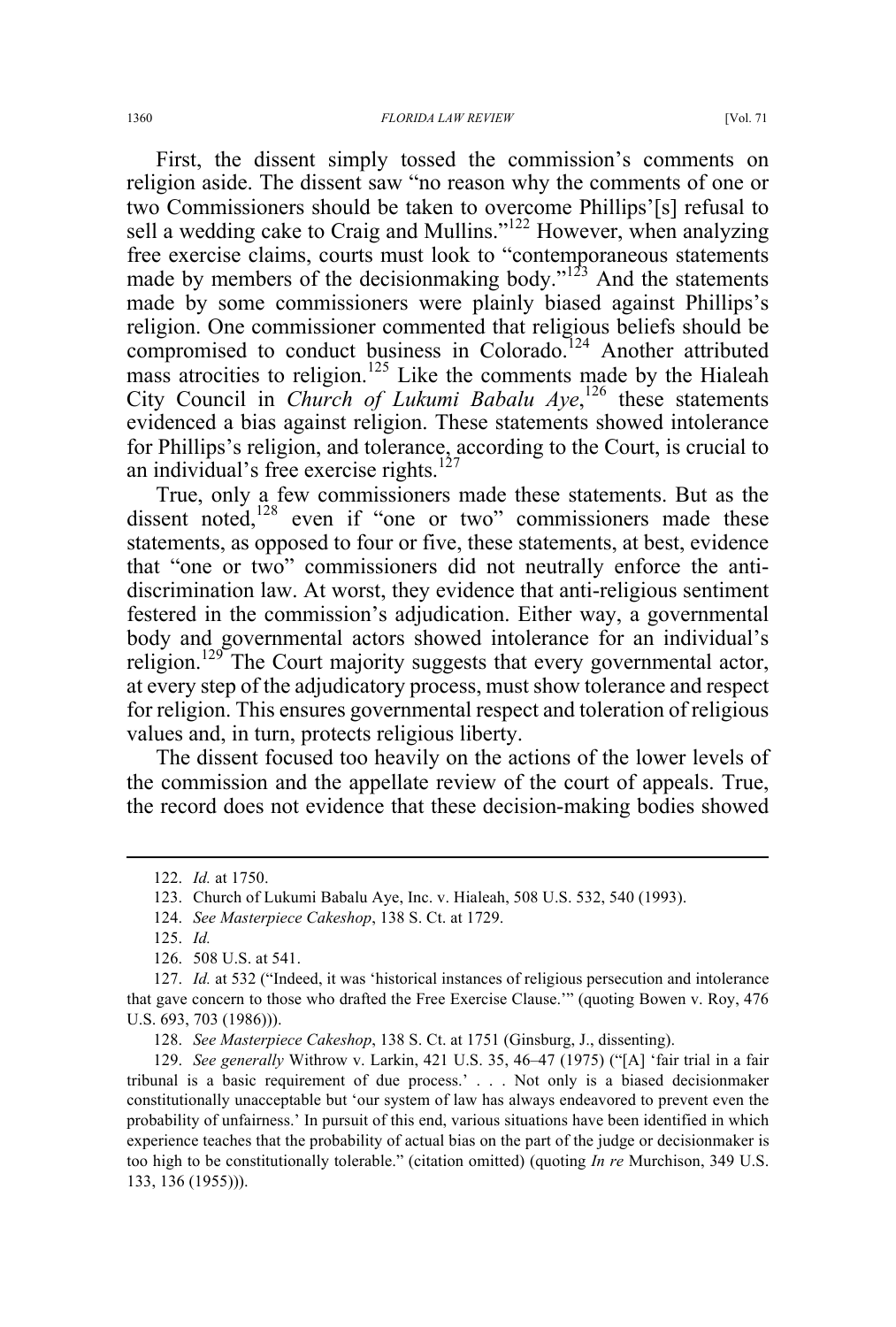First, the dissent simply tossed the commission's comments on religion aside. The dissent saw "no reason why the comments of one or two Commissioners should be taken to overcome Phillips'[s] refusal to sell a wedding cake to Craig and Mullins."<sup>122</sup> However, when analyzing free exercise claims, courts must look to "contemporaneous statements made by members of the decision making body."<sup>123</sup> And the statements made by some commissioners were plainly biased against Phillips's religion. One commissioner commented that religious beliefs should be compromised to conduct business in Colorado.<sup>124</sup> Another attributed mass atrocities to religion.<sup>125</sup> Like the comments made by the Hialeah City Council in *Church of Lukumi Babalu Aye*,<sup>126</sup> these statements evidenced a bias against religion. These statements showed intolerance for Phillips's religion, and tolerance, according to the Court, is crucial to an individual's free exercise rights. $127$ 

True, only a few commissioners made these statements. But as the dissent noted,<sup>128</sup> even if "one or two" commissioners made these statements, as opposed to four or five, these statements, at best, evidence that "one or two" commissioners did not neutrally enforce the antidiscrimination law. At worst, they evidence that anti-religious sentiment festered in the commission's adjudication. Either way, a governmental body and governmental actors showed intolerance for an individual's religion.<sup>129</sup> The Court majority suggests that every governmental actor, at every step of the adjudicatory process, must show tolerance and respect for religion. This ensures governmental respect and toleration of religious values and, in turn, protects religious liberty.

The dissent focused too heavily on the actions of the lower levels of the commission and the appellate review of the court of appeals. True, the record does not evidence that these decision-making bodies showed

 <sup>122.</sup> *Id.* at 1750.

<sup>123.</sup> Church of Lukumi Babalu Aye, Inc. v. Hialeah, 508 U.S. 532, 540 (1993).

<sup>124.</sup> *See Masterpiece Cakeshop*, 138 S. Ct. at 1729.

<sup>125.</sup> *Id.* 

<sup>126.</sup> 508 U.S. at 541.

<sup>127.</sup> *Id.* at 532 ("Indeed, it was 'historical instances of religious persecution and intolerance that gave concern to those who drafted the Free Exercise Clause.'" (quoting Bowen v. Roy, 476 U.S. 693, 703 (1986))).

<sup>128.</sup> *See Masterpiece Cakeshop*, 138 S. Ct. at 1751 (Ginsburg, J., dissenting).

<sup>129.</sup> *See generally* Withrow v. Larkin, 421 U.S. 35, 46–47 (1975) ("[A] 'fair trial in a fair tribunal is a basic requirement of due process.' . . . Not only is a biased decisionmaker constitutionally unacceptable but 'our system of law has always endeavored to prevent even the probability of unfairness.' In pursuit of this end, various situations have been identified in which experience teaches that the probability of actual bias on the part of the judge or decisionmaker is too high to be constitutionally tolerable." (citation omitted) (quoting *In re* Murchison, 349 U.S. 133, 136 (1955))).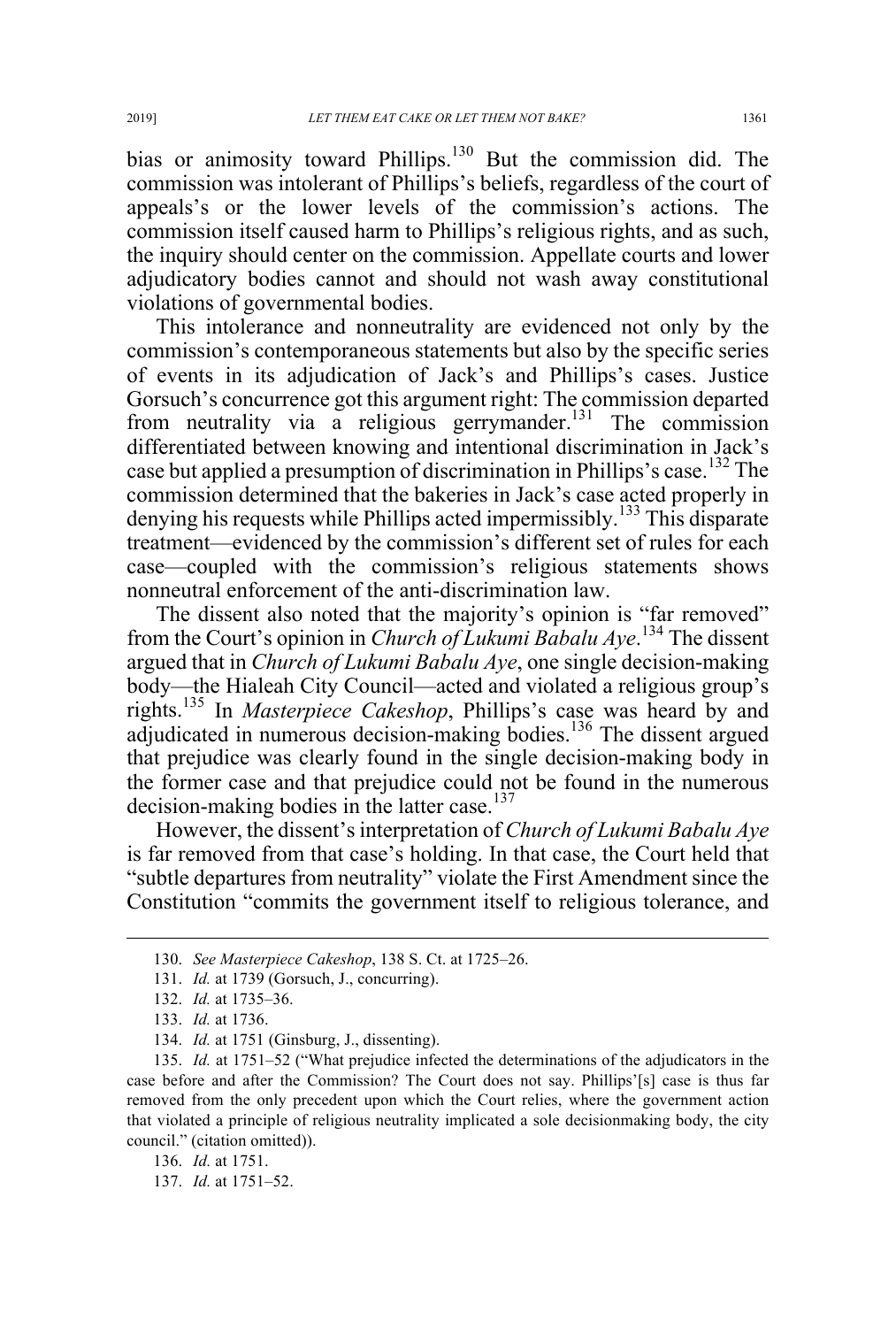bias or animosity toward Phillips.<sup>130</sup> But the commission did. The commission was intolerant of Phillips's beliefs, regardless of the court of appeals's or the lower levels of the commission's actions. The commission itself caused harm to Phillips's religious rights, and as such, the inquiry should center on the commission. Appellate courts and lower adjudicatory bodies cannot and should not wash away constitutional violations of governmental bodies.

This intolerance and nonneutrality are evidenced not only by the commission's contemporaneous statements but also by the specific series of events in its adjudication of Jack's and Phillips's cases. Justice Gorsuch's concurrence got this argument right: The commission departed from neutrality via a religious gerrymander.<sup>131</sup> The commission differentiated between knowing and intentional discrimination in Jack's case but applied a presumption of discrimination in Phillips's case.<sup>132</sup> The commission determined that the bakeries in Jack's case acted properly in denying his requests while Phillips acted impermissibly.<sup>133</sup> This disparate treatment—evidenced by the commission's different set of rules for each case—coupled with the commission's religious statements shows nonneutral enforcement of the anti-discrimination law.

The dissent also noted that the majority's opinion is "far removed" from the Court's opinion in *Church of Lukumi Babalu Aye*. <sup>134</sup> The dissent argued that in *Church of Lukumi Babalu Aye*, one single decision-making body—the Hialeah City Council—acted and violated a religious group's rights.135 In *Masterpiece Cakeshop*, Phillips's case was heard by and adjudicated in numerous decision-making bodies.<sup>136</sup> The dissent argued that prejudice was clearly found in the single decision-making body in the former case and that prejudice could not be found in the numerous decision-making bodies in the latter case.<sup>137</sup>

However, the dissent's interpretation of *Church of Lukumi Babalu Aye* is far removed from that case's holding. In that case, the Court held that "subtle departures from neutrality" violate the First Amendment since the Constitution "commits the government itself to religious tolerance, and

135. *Id.* at 1751–52 ("What prejudice infected the determinations of the adjudicators in the case before and after the Commission? The Court does not say. Phillips'[s] case is thus far removed from the only precedent upon which the Court relies, where the government action that violated a principle of religious neutrality implicated a sole decisionmaking body, the city council." (citation omitted)).

136. *Id.* at 1751.

137. *Id.* at 1751–52.

 <sup>130.</sup> *See Masterpiece Cakeshop*, 138 S. Ct. at 1725–26.

<sup>131.</sup> *Id.* at 1739 (Gorsuch, J., concurring).

<sup>132.</sup> *Id.* at 1735–36.

<sup>133.</sup> *Id.* at 1736.

<sup>134.</sup> *Id.* at 1751 (Ginsburg, J., dissenting).